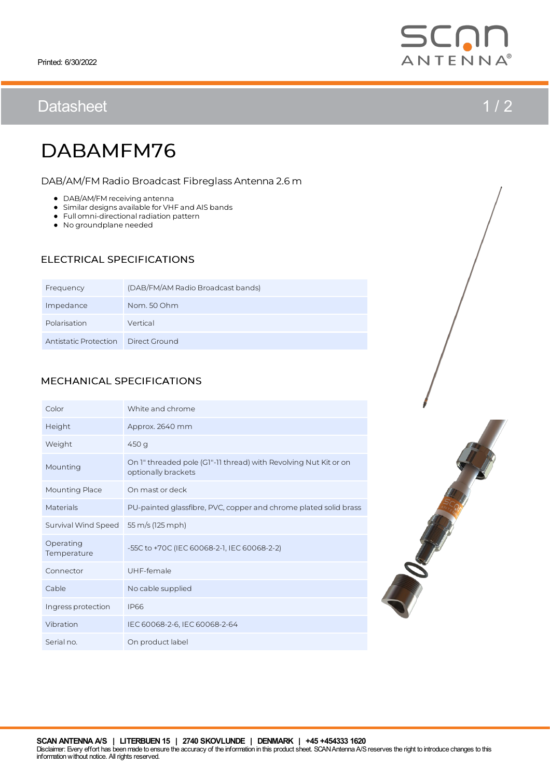## Datasheet 1/2

# DABAMFM76

DAB/AM/FMRadio Broadcast Fibreglass Antenna 2.6m

- DAB/AM/FM receiving antenna
- Similar designs available for VHF and AIS bands
- $\bullet$  Full omni-directional radiation pattern
- No groundplane needed

### ELECTRICAL SPECIFICATIONS

| Frequency             | (DAB/FM/AM Radio Broadcast bands) |
|-----------------------|-----------------------------------|
| Impedance             | Nom. 50 Ohm                       |
| Polarisation          | Vertical                          |
| Antistatic Protection | Direct Ground                     |

### MECHANICAL SPECIFICATIONS

| Color                    | White and chrome                                                                        |
|--------------------------|-----------------------------------------------------------------------------------------|
| Height                   | Approx. 2640 mm                                                                         |
| Weight                   | 450 g                                                                                   |
| Mounting                 | On 1" threaded pole (G1"-11 thread) with Revolving Nut Kit or on<br>optionally brackets |
| <b>Mounting Place</b>    | On mast or deck                                                                         |
| Materials                | PU-painted glassfibre, PVC, copper and chrome plated solid brass                        |
| Survival Wind Speed      | 55 m/s (125 mph)                                                                        |
| Operating<br>Temperature | -55C to +70C (IEC 60068-2-1, IEC 60068-2-2)                                             |
| Connector                | UHF-female                                                                              |
| Cable                    | No cable supplied                                                                       |
| Ingress protection       | <b>IP66</b>                                                                             |
| Vibration                | IEC 60068-2-6, IEC 60068-2-64                                                           |
| Serial no.               | On product label                                                                        |